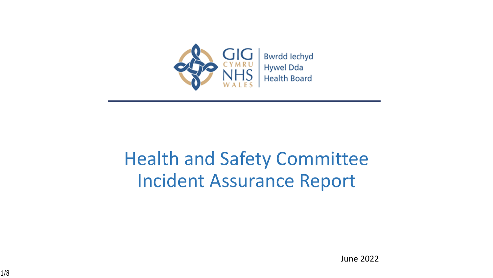

## Health and Safety Committee Incident Assurance Report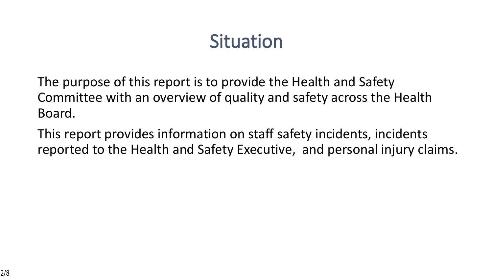## **Situation**

The purpose of this report is to provide the Health and Safety Committee with an overview of quality and safety across the Health Board.

This report provides information on staff safety incidents, incidents reported to the Health and Safety Executive, and personal injury claims.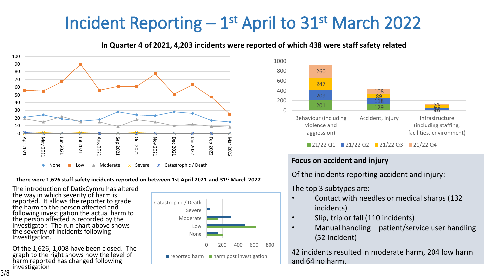## **Incident Reporting – 1st April to 31st March 2022**



#### **In Quarter 4 of 2021, 4,203 incidents were reported of which 438 were staff safety related**

#### **There were 1,626 staff safety incidents reported on between 1st April 2021 and 31st March 2022**

The introduction of DatixCymru has altered the way in which severity of harm is reported. It allows the reporter to grade the harm to the person affected and following investigation the actual harm to the person affected is recorded by the investigator. The run chart above shows the severity of incidents following investigation.

Of the 1,626, 1,008 have been closed. The graph to the right shows how the level of harm reported has changed following investigation





#### **Focus on accident and injury**

Of the incidents reporting accident and injury:

### The top 3 subtypes are:

- Contact with needles or medical sharps (132 incidents)
- Slip, trip or fall (110 incidents)
- Manual handling patient/service user handling (52 incident)

42 incidents resulted in moderate harm, 204 low harm and 64 no harm.

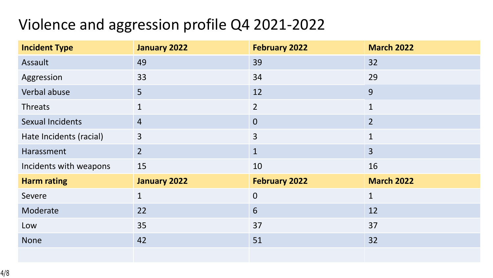### Violence and aggression profile Q4 2021-2022

| <b>Incident Type</b>    | January 2022   | <b>February 2022</b> | <b>March 2022</b> |
|-------------------------|----------------|----------------------|-------------------|
| Assault                 | 49             | 39                   | 32                |
| Aggression              | 33             | 34                   | 29                |
| Verbal abuse            | 5 <sup>1</sup> | 12                   | 9                 |
| <b>Threats</b>          | $\mathbf{1}$   | $\overline{2}$       | $\mathbf{1}$      |
| <b>Sexual Incidents</b> | $\overline{4}$ | $\overline{0}$       | $\overline{2}$    |
| Hate Incidents (racial) | $\overline{3}$ | $\overline{3}$       | $\mathbf{1}$      |
| Harassment              | 2 <sup>1</sup> | $\mathbf{1}$         | $\overline{3}$    |
| Incidents with weapons  | 15             | 10                   | 16                |
| <b>Harm rating</b>      | January 2022   | <b>February 2022</b> | <b>March 2022</b> |
| Severe                  | $\mathbf{1}$   | $\mathbf 0$          | $\mathbf{1}$      |
| Moderate                | 22             | 6                    | 12                |
| Low                     | 35             | 37                   | 37                |
| <b>None</b>             | 42             | 51                   | 32                |
|                         |                |                      |                   |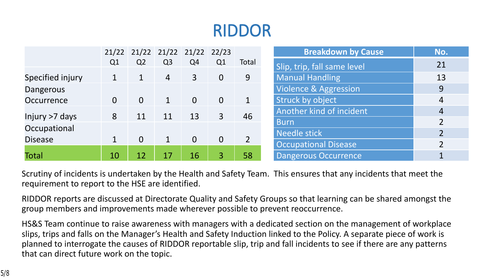## **RIDDOR**

|                  |                |                 | 21/22 21/22 21/22 21/22 22/23 |                |                |                | <b>Breakdown by Cause</b>        | No.            |
|------------------|----------------|-----------------|-------------------------------|----------------|----------------|----------------|----------------------------------|----------------|
|                  | Q <sub>1</sub> | Q <sub>2</sub>  | Q <sub>3</sub>                | Q4             | Q1             | Total          | Slip, trip, fall same level      | 21             |
| Specified injury | 1              |                 | $\overline{4}$                | $\mathbf{3}$   | $\overline{0}$ | 9              | <b>Manual Handling</b>           | 13             |
| Dangerous        |                |                 |                               |                |                |                | <b>Violence &amp; Aggression</b> | 9              |
| Occurrence       | $\Omega$       | $\Omega$        | $\mathbf{1}$                  | $\overline{0}$ | $\overline{0}$ | $\mathbf 1$    | Struck by object                 | 4              |
| Injury >7 days   | 8              | 11              | 11                            | 13             | $\overline{3}$ | 46             | Another kind of incident         | 4              |
| Occupational     |                |                 |                               |                |                |                | <b>Burn</b>                      | $\overline{2}$ |
| <b>Disease</b>   |                | $\overline{0}$  | $\mathbf{1}$                  | $\overline{0}$ | $\Omega$       | $\overline{2}$ | <b>Needle stick</b>              | $\overline{2}$ |
|                  |                |                 |                               |                |                |                | <b>Occupational Disease</b>      | $\overline{2}$ |
| <b>Total</b>     | 10             | $\overline{12}$ | 17                            | <b>16</b>      | $\overline{3}$ | 58             | Dangerous Occurrence             |                |

Scrutiny of incidents is undertaken by the Health and Safety Team. This ensures that any incidents that meet the requirement to report to the HSE are identified.

RIDDOR reports are discussed at Directorate Quality and Safety Groups so that learning can be shared amongst the group members and improvements made wherever possible to prevent reoccurrence.

HS&S Team continue to raise awareness with managers with a dedicated section on the management of workplace slips, trips and falls on the Manager's Health and Safety Induction linked to the Policy. A separate piece of work is planned to interrogate the causes of RIDDOR reportable slip, trip and fall incidents to see if there are any patterns that can direct future work on the topic.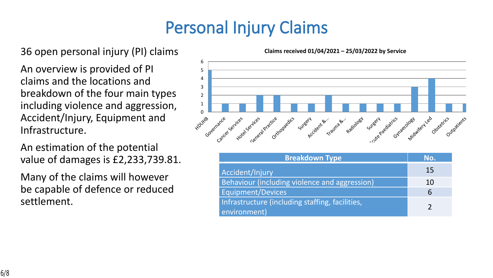## **Personal Injury Claims**

### 36 open personal injury (PI) claims

An overview is provided of PI claims and the locations and breakdown of the four main types including violence and aggression, Accident/Injury, Equipment and Infrastructure.

An estimation of the potential value of damages is £2,233,739.81.

Many of the claims will however be capable of defence or reduced settlement.

HDUHB Governance Cancer Services Hotel Services General Practice Orthopaedics Surgery **Accident B.** Trauma &… Radiology Surgery **Praediatrics** Gynaecology **Midwifert** Led Obstetrics Outpatients 0 1 2 3 4 5 6

| <b>Breakdown Type</b>                                           | No. |
|-----------------------------------------------------------------|-----|
| Accident/Injury                                                 | 15  |
| Behaviour (including violence and aggression)                   | 10  |
| <b>Equipment/Devices</b>                                        | 6   |
| Infrastructure (including staffing, facilities,<br>environment) |     |

**Claims received 01/04/2021 – 25/03/2022 by Service**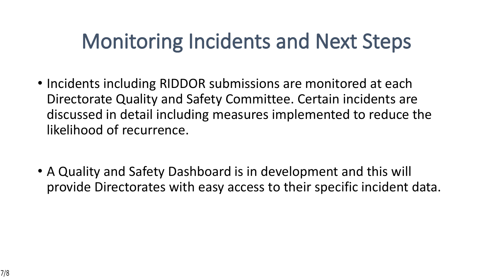# **Monitoring Incidents and Next Steps**

- Incidents including RIDDOR submissions are monitored at each Directorate Quality and Safety Committee. Certain incidents are discussed in detail including measures implemented to reduce the likelihood of recurrence.
- A Quality and Safety Dashboard is in development and this will provide Directorates with easy access to their specific incident data.